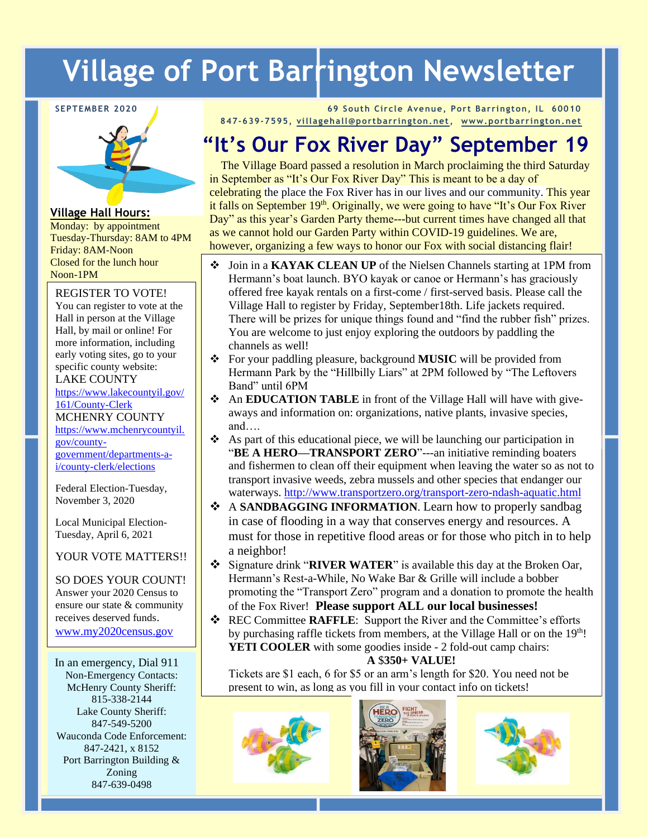# **Village of Port Barrington Newsletter**

#### **SEPTEMBER 2020**



**Village Hall Hours:**

Monday: by appointment Tuesday-Thursday: 8AM to 4PM Friday: 8AM-Noon Closed for the lunch hour Noon-1PM

REGISTER TO VOTE! You can register to vote at the Hall in person at the Village Hall, by mail or online! For more information, including early voting sites, go to your specific county website:

LAKE COUNTY

[https://www.lakecountyil.gov/](https://www.lakecountyil.gov/161/County-Clerk) [161/County-Clerk](https://www.lakecountyil.gov/161/County-Clerk)

MCHENRY COUNTY

[https://www.mchenrycountyil.](https://www.mchenrycountyil.gov/county-government/departments-a-i/county-clerk/elections) [gov/county](https://www.mchenrycountyil.gov/county-government/departments-a-i/county-clerk/elections)[government/departments-a-](https://www.mchenrycountyil.gov/county-government/departments-a-i/county-clerk/elections)

[i/county-clerk/elections](https://www.mchenrycountyil.gov/county-government/departments-a-i/county-clerk/elections)

Federal Election-Tuesday, November 3, 2020

Local Municipal Election-Tuesday, April 6, 2021

YOUR VOTE MATTERS!!

SO DOES YOUR COUNT! Answer your 2020 Census to ensure our state & community receives deserved funds. [www.my2020census.gov](http://www.my2020census.gov/) 

In an emergency, Dial 911 Non-Emergency Contacts: McHenry County Sheriff: 815-338-2144 Lake County Sheriff: 847-549-5200 Wauconda Code Enforcement: 847-2421, x 8152 Port Barrington Building & Zoning 847-639-0498

**69 South Circle Avenue, Port Barrington, IL 60010 847-639-7595, [villagehall@portbarrington.net,](mailto:villagehall@portbarrington.net) [www.portbarrington.net](http://www.portbarrington.net/)**

# **"It's Our Fox River Day" September 19**

 The Village Board passed a resolution in March proclaiming the third Saturday in September as "It's Our Fox River Day" This is meant to be a day of celebrating the place the Fox River has in our lives and our community. This year it falls on September  $19<sup>th</sup>$ . Originally, we were going to have "It's Our Fox River" Day" as this year's Garden Party theme---but current times have changed all that as we cannot hold our Garden Party within COVID-19 guidelines. We are, however, organizing a few ways to honor our Fox with social distancing flair!

- ❖ Join in a **KAYAK CLEAN UP** of the Nielsen Channels starting at 1PM from Hermann's boat launch. BYO kayak or canoe or Hermann's has graciously offered free kayak rentals on a first-come / first-served basis. Please call the Village Hall to register by Friday, September18th. Life jackets required. There will be prizes for unique things found and "find the rubber fish" prizes. You are welcome to just enjoy exploring the outdoors by paddling the channels as well!
- ❖ For your paddling pleasure, background **MUSIC** will be provided from Hermann Park by the "Hillbilly Liars" at 2PM followed by "The Leftovers Band" until 6PM
- ❖ An **EDUCATION TABLE** in front of the Village Hall will have with giveaways and information on: organizations, native plants, invasive species, and….
- ❖ As part of this educational piece, we will be launching our participation in "**BE A HERO—TRANSPORT ZERO**"---an initiative reminding boaters and fishermen to clean off their equipment when leaving the water so as not to transport invasive weeds, zebra mussels and other species that endanger our waterways.<http://www.transportzero.org/transport-zero-ndash-aquatic.html>
- ❖ A **SANDBAGGING INFORMATION**. Learn how to properly sandbag in case of flooding in a way that conserves energy and resources. A must for those in repetitive flood areas or for those who pitch in to help a neighbor!
- ❖ Signature drink "**RIVER WATER**" is available this day at the Broken Oar, Hermann's Rest-a-While, No Wake Bar & Grille will include a bobber promoting the "Transport Zero" program and a donation to promote the health of the Fox River! **Please support ALL our local businesses!**
- ❖ REC Committee **RAFFLE**: Support the River and the Committee's efforts by purchasing raffle tickets from members, at the Village Hall or on the 19<sup>th</sup>! **YETI COOLER** with some goodies inside - 2 fold-out camp chairs:

**A** \$**350+ VALUE!**

Tickets are \$1 each, 6 for \$5 or an arm's length for \$20. You need not be present to win, as long as you fill in your contact info on tickets!





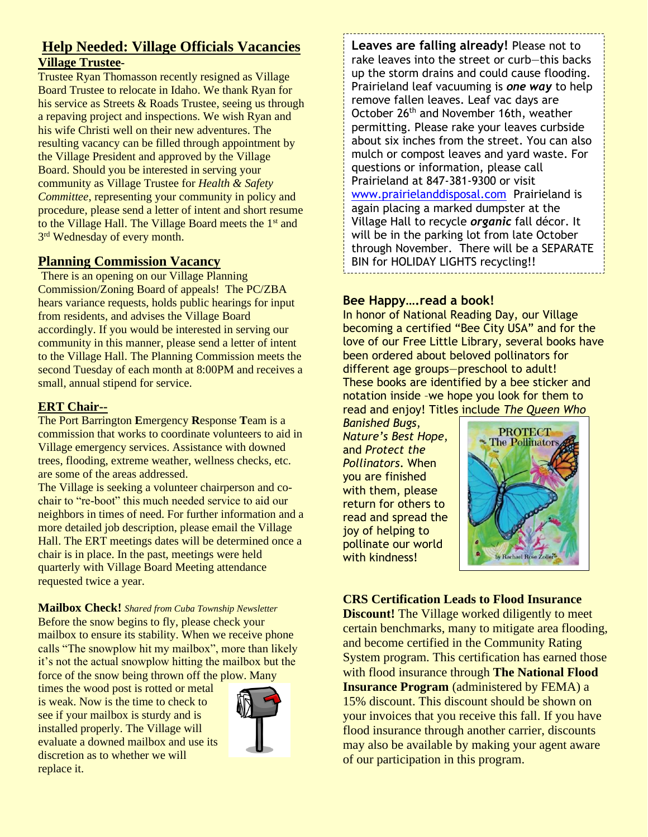### **Help Needed: Village Officials Vacancies Village Trustee-**

Trustee Ryan Thomasson recently resigned as Village Board Trustee to relocate in Idaho. We thank Ryan for his service as Streets & Roads Trustee, seeing us through a repaving project and inspections. We wish Ryan and his wife Christi well on their new adventures. The resulting vacancy can be filled through appointment by the Village President and approved by the Village Board. Should you be interested in serving your community as Village Trustee for *Health & Safety Committee*, representing your community in policy and procedure, please send a letter of intent and short resume to the Village Hall. The Village Board meets the 1<sup>st</sup> and 3<sup>rd</sup> Wednesday of every month.

#### **Planning Commission Vacancy**

There is an opening on our Village Planning Commission/Zoning Board of appeals! The PC/ZBA hears variance requests, holds public hearings for input from residents, and advises the Village Board accordingly. If you would be interested in serving our community in this manner, please send a letter of intent to the Village Hall. The Planning Commission meets the second Tuesday of each month at 8:00PM and receives a small, annual stipend for service.

#### **ERT Chair--**

The Port Barrington **E**mergency **R**esponse **T**eam is a commission that works to coordinate volunteers to aid in Village emergency services. Assistance with downed trees, flooding, extreme weather, wellness checks, etc. are some of the areas addressed.

The Village is seeking a volunteer chairperson and cochair to "re-boot" this much needed service to aid our neighbors in times of need. For further information and a more detailed job description, please email the Village Hall. The ERT meetings dates will be determined once a chair is in place. In the past, meetings were held quarterly with Village Board Meeting attendance requested twice a year.

**Mailbox Check!** *Shared from Cuba Township Newsletter*  Before the snow begins to fly, please check your mailbox to ensure its stability. When we receive phone calls "The snowplow hit my mailbox", more than likely it's not the actual snowplow hitting the mailbox but the force of the snow being thrown off the plow. Many

times the wood post is rotted or metal is weak. Now is the time to check to see if your mailbox is sturdy and is installed properly. The Village will evaluate a downed mailbox and use its discretion as to whether we will replace it.



**Leaves are falling already!** Please not to rake leaves into the street or curb—this backs up the storm drains and could cause flooding. Prairieland leaf vacuuming is *one way* to help remove fallen leaves. Leaf vac days are October 26<sup>th</sup> and November 16th, weather permitting. Please rake your leaves curbside about six inches from the street. You can also mulch or compost leaves and yard waste. For questions or information, please call Prairieland at 847-381-9300 or visit [www.prairielanddisposal.com](http://www.prairielanddisposal.com/) Prairieland is again placing a marked dumpster at the Village Hall to recycle *organic* fall décor. It will be in the parking lot from late October through November. There will be a SEPARATE BIN for HOLIDAY LIGHTS recycling!!

#### **Bee Happy….read a book!**

In honor of National Reading Day, our Village becoming a certified "Bee City USA" and for the love of our Free Little Library, several books have been ordered about beloved pollinators for different age groups—preschool to adult! These books are identified by a bee sticker and notation inside –we hope you look for them to read and enjoy! Titles include *The Queen Who* 

*Banished Bugs*, *Nature's Best Hope*, and *Protect the Pollinators*. When you are finished with them, please return for others to read and spread the joy of helping to pollinate our world with kindness!



#### **CRS Certification Leads to Flood Insurance**

**Discount!** The Village worked diligently to meet certain benchmarks, many to mitigate area flooding, and become certified in the Community Rating System program. This certification has earned those with flood insurance through **The National Flood Insurance Program** (administered by FEMA) a 15% discount. This discount should be shown on your invoices that you receive this fall. If you have flood insurance through another carrier, discounts may also be available by making your agent aware of our participation in this program.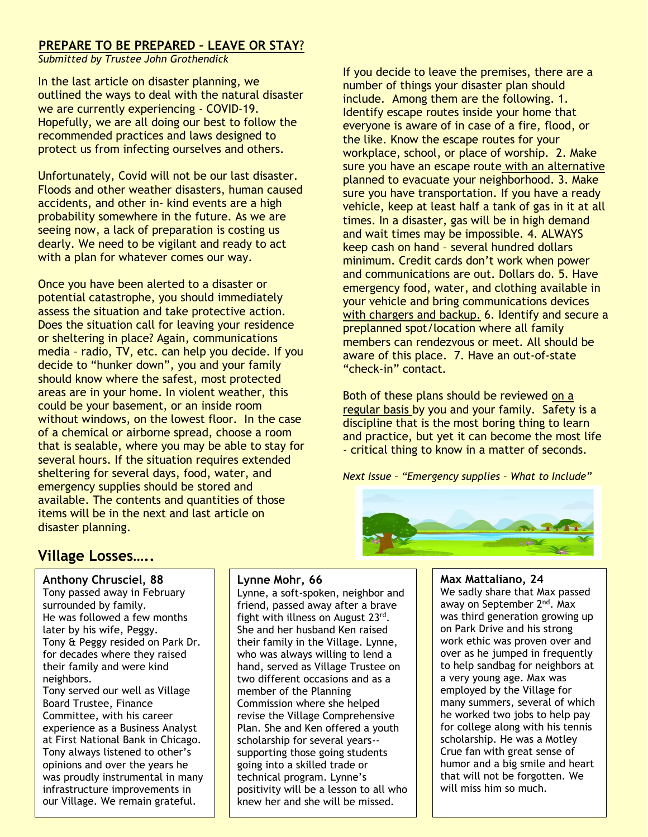#### **PREPARE TO BE PREPARED – LEAVE OR STAY**?

*Submitted by Trustee John Grothendick*

In the last article on disaster planning, we outlined the ways to deal with the natural disaster we are currently experiencing - COVID-19. Hopefully, we are all doing our best to follow the recommended practices and laws designed to protect us from infecting ourselves and others.

Unfortunately, Covid will not be our last disaster. Floods and other weather disasters, human caused accidents, and other in- kind events are a high probability somewhere in the future. As we are seeing now, a lack of preparation is costing us dearly. We need to be vigilant and ready to act with a plan for whatever comes our way.

Once you have been alerted to a disaster or potential catastrophe, you should immediately assess the situation and take protective action. Does the situation call for leaving your residence or sheltering in place? Again, communications media – radio, TV, etc. can help you decide. If you decide to "hunker down", you and your family should know where the safest, most protected areas are in your home. In violent weather, this could be your basement, or an inside room without windows, on the lowest floor. In the case of a chemical or airborne spread, choose a room that is sealable, where you may be able to stay for several hours. If the situation requires extended sheltering for several days, food, water, and emergency supplies should be stored and available. The contents and quantities of those items will be in the next and last article on disaster planning.

If you decide to leave the premises, there are a number of things your disaster plan should include. Among them are the following. 1. Identify escape routes inside your home that everyone is aware of in case of a fire, flood, or the like. Know the escape routes for your workplace, school, or place of worship. 2. Make sure you have an escape route with an alternative planned to evacuate your neighborhood. 3. Make sure you have transportation. If you have a ready vehicle, keep at least half a tank of gas in it at all times. In a disaster, gas will be in high demand and wait times may be impossible. 4. ALWAYS keep cash on hand – several hundred dollars minimum. Credit cards don't work when power and communications are out. Dollars do. 5. Have emergency food, water, and clothing available in your vehicle and bring communications devices with chargers and backup. 6. Identify and secure a preplanned spot/location where all family members can rendezvous or meet. All should be aware of this place. 7. Have an out-of-state "check-in" contact.

Both of these plans should be reviewed on a regular basis by you and your family. Safety is a discipline that is the most boring thing to learn and practice, but yet it can become the most life - critical thing to know in a matter of seconds.

*Next Issue – "Emergency supplies – What to Include"*



# **Village Losses…..**

#### **Anthony Chrusciel, 88**

Tony passed away in February surrounded by family. He was followed a few months later by his wife, Peggy. Tony & Peggy resided on Park Dr. for decades where they raised their family and were kind neighbors. Tony served our well as Village

Board Trustee, Finance Committee, with his career experience as a Business Analyst at First National Bank in Chicago. Tony always listened to other's opinions and over the years he was proudly instrumental in many infrastructure improvements in our Village. We remain grateful.

#### **Lynne Mohr, 66**

Lynne, a soft-spoken, neighbor and friend, passed away after a brave fight with illness on August 23rd. She and her husband Ken raised their family in the Village. Lynne, who was always willing to lend a hand, served as Village Trustee on two different occasions and as a member of the Planning Commission where she helped revise the Village Comprehensive Plan. She and Ken offered a youth scholarship for several years- supporting those going students going into a skilled trade or technical program. Lynne's positivity will be a lesson to all who knew her and she will be missed.

**Max Mattaliano, 24** We sadly share that Max passed away on September 2<sup>nd</sup>. Max was third generation growing up on Park Drive and his strong work ethic was proven over and over as he jumped in frequently to help sandbag for neighbors at a very young age. Max was employed by the Village for many summers, several of which he worked two jobs to help pay for college along with his tennis scholarship. He was a Motley Crue fan with great sense of humor and a big smile and heart that will not be forgotten. We will miss him so much.